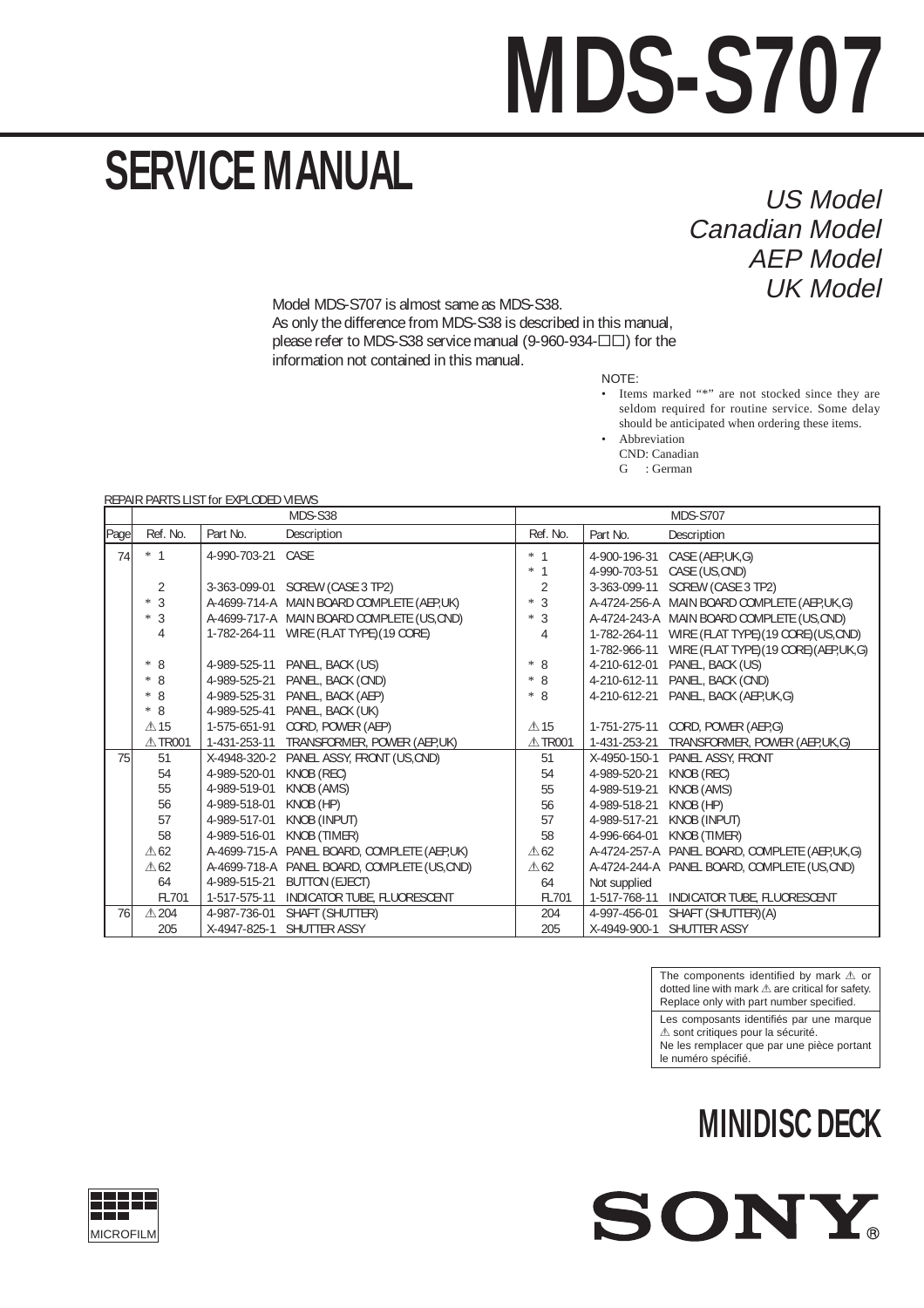## **MDS-S707**

## **SERVICE MANUAL**

US Model Canadian Model AEP Model UK Model

Model MDS-S707 is almost same as MDS-S38. As only the difference from MDS-S38 is described in this manual, please refer to MDS-S38 service manual (9-960-934-ΠΠ) for the information not contained in this manual.

NOTE:

• Items marked "\*" are not stocked since they are seldom required for routine service. Some delay should be anticipated when ordering these items.

**Abbreviation** CND: Canadian

G : German

REPAIR PARTS LIST for EXPLODED VIEWS

|      | MDS-S38         |                   |                                             | <b>MDS-S707</b> |              |                                               |
|------|-----------------|-------------------|---------------------------------------------|-----------------|--------------|-----------------------------------------------|
| Page | Ref. No.        | Part No.          | Description                                 | Ref. No.        | Part No.     | Description                                   |
| 74   | $*$ 1           | 4-990-703-21 CASE |                                             | $*1$            | 4-900-196-31 | CASE (AEP,UK,G)                               |
|      |                 |                   |                                             | *<br>-1         | 4-990-703-51 | CASE (US, CND)                                |
|      | 2               |                   | 3-363-099-01 SCREW (CASE 3 TP2)             | $\overline{2}$  | 3-363-099-11 | SCREW (CASE 3 TP2)                            |
|      | $*3$            |                   | A-4699-714-A MAIN BOARD COMPLETE (AEP,UK)   | $*3$            |              | A-4724-256-A MAIN BOARD COMPLETE (AEP,UK,G)   |
|      | $*3$            |                   | A-4699-717-A MAIN BOARD COMPLETE (US,CND)   | $*3$            |              | A-4724-243-A MAIN BOARD COMPLETE (US,CND)     |
|      | 4               |                   | 1-782-264-11 WIRE (FLAT TYPE) (19 CORE)     | 4               | 1-782-264-11 | WIRE (FLAT TYPE) (19 CORE) (US, CND)          |
|      |                 |                   |                                             |                 | 1-782-966-11 | WIRE (FLAT TYPE) (19 CORE) (AEP, UK, G)       |
|      | $* 8$           |                   | 4-989-525-11 PANEL, BACK (US)               | $* 8$           | 4-210-612-01 | PANEL, BACK (US)                              |
|      | $* 8$           | 4-989-525-21      | PANEL, BACK (CND)                           | $* 8$           | 4-210-612-11 | PANEL, BACK (CND)                             |
|      | $* 8$           | 4-989-525-31      | PANEL, BACK (AEP)                           | $* 8$           | 4-210-612-21 | PANEL, BACK (AEP, UK, G)                      |
|      | $* 8$           | 4-989-525-41      | PANEL, BACK (UK)                            |                 |              |                                               |
|      | $\triangle$ 15  | 1-575-651-91      | CORD, POWER (AEP)                           | $\triangle$ 15  | 1-751-275-11 | CORD, POWER (AEP,G)                           |
|      | △TR001          | 1-431-253-11      | TRANSFORMER, POWER (AEP,UK)                 | △TR001          | 1-431-253-21 | TRANSFORMER, POWER (AEP,UK,G)                 |
| 75   | 51              | X-4948-320-2      | PANEL ASSY, FRONT (US, CND)                 | 51              | X-4950-150-1 | PANEL ASSY, FRONT                             |
|      | 54              | 4-989-520-01      | KNOB (REC)                                  | 54              | 4-989-520-21 | KNOB (REC)                                    |
|      | 55              | 4-989-519-01      | KNOB (AMS)                                  | 55              | 4-989-519-21 | KNOB (AMS)                                    |
|      | 56              | 4-989-518-01      | KNOB (HP)                                   | 56              | 4-989-518-21 | KNOB (HP)                                     |
|      | 57              | 4-989-517-01      | KNOB (INPUT)                                | 57              | 4-989-517-21 | KNOB (INPUT)                                  |
|      | 58              | 4-989-516-01      | KNOB (TIMER)                                | 58              | 4-996-664-01 | KNOB (TIMER)                                  |
|      | $\triangle 62$  |                   | A-4699-715-A PANEL BOARD, COMPLETE (AEP,UK) | $\triangle 62$  |              | A-4724-257-A PANEL BOARD, COMPLETE (AEP,UK,G) |
|      | $\triangle 62$  |                   | A-4699-718-A PANEL BOARD, COMPLETE (US,CND) | $\triangle 62$  |              | A-4724-244-A PANEL BOARD, COMPLETE (US,CND)   |
|      | 64              | 4-989-515-21      | <b>BUTTON (EJECT)</b>                       | 64              | Not supplied |                                               |
|      | FL701           | 1-517-575-11      | INDICATOR TUBE, FLUORESCENT                 | FL701           | 1-517-768-11 | INDICATOR TUBE, FLUORESCENT                   |
| 76   | $\triangle$ 204 | 4-987-736-01      | SHAFT (SHUTTER)                             | 204             | 4-997-456-01 | SHAFT (SHUTTER)(A)                            |
|      | 205             | X-4947-825-1      | SHUTTER ASSY                                | 205             | X-4949-900-1 | SHUTTER ASSY                                  |

The components identified by mark  $\triangle$  or dotted line with mark  $\triangle$  are critical for safety. Replace only with part number specified.

Les composants identifiés par une marque  $\triangle$  sont critiques pour la sécurité.

Ne les remplacer que par une pièce portant le numéro spécifié.

## **MINIDISC DECK**